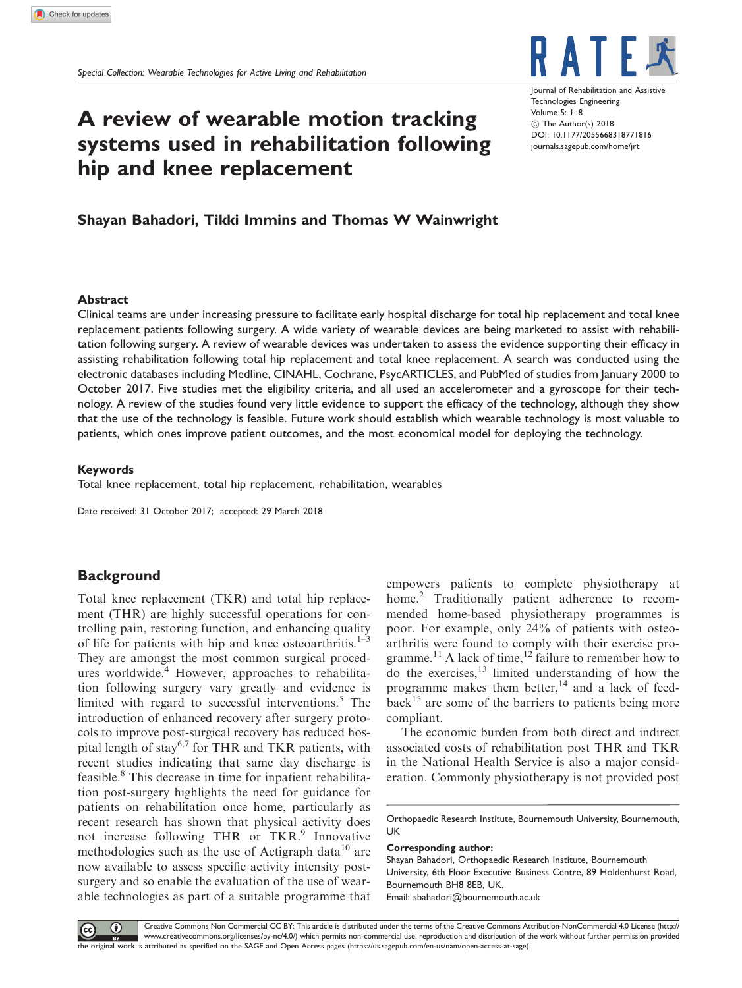# A review of wearable motion tracking systems used in rehabilitation following hip and knee replacement



Journal of Rehabilitation and A Technologies Engineering Volume 5: 1–8 C The Author(s) 2018 DOI: [10.1177/2055668318771816](https://doi.org/10.1177/2055668318771816) <journals.sagepub.com/home/jrt>

# Shayan Bahadori, Tikki Immins and Thomas W Wainwright

#### **Abstract**

Clinical teams are under increasing pressure to facilitate early hospital discharge for total hip replacement and total knee replacement patients following surgery. A wide variety of wearable devices are being marketed to assist with rehabilitation following surgery. A review of wearable devices was undertaken to assess the evidence supporting their efficacy in assisting rehabilitation following total hip replacement and total knee replacement. A search was conducted using the electronic databases including Medline, CINAHL, Cochrane, PsycARTICLES, and PubMed of studies from January 2000 to October 2017. Five studies met the eligibility criteria, and all used an accelerometer and a gyroscope for their technology. A review of the studies found very little evidence to support the efficacy of the technology, although they show that the use of the technology is feasible. Future work should establish which wearable technology is most valuable to patients, which ones improve patient outcomes, and the most economical model for deploying the technology.

#### Keywords

Total knee replacement, total hip replacement, rehabilitation, wearables

Date received: 31 October 2017; accepted: 29 March 2018

# **Background**

Total knee replacement (TKR) and total hip replacement (THR) are highly successful operations for controlling pain, restoring function, and enhancing quality of life for patients with hip and knee osteoarthritis.<sup>1–3</sup> They are amongst the most common surgical procedures worldwide.<sup>4</sup> However, approaches to rehabilitation following surgery vary greatly and evidence is limited with regard to successful interventions. $5$  The introduction of enhanced recovery after surgery protocols to improve post-surgical recovery has reduced hospital length of stay<sup>6,7</sup> for THR and TKR patients, with recent studies indicating that same day discharge is feasible.<sup>8</sup> This decrease in time for inpatient rehabilitation post-surgery highlights the need for guidance for patients on rehabilitation once home, particularly as recent research has shown that physical activity does not increase following THR or TKR.<sup>9</sup> Innovative methodologies such as the use of Actigraph data<sup>10</sup> are now available to assess specific activity intensity postsurgery and so enable the evaluation of the use of wearable technologies as part of a suitable programme that

empowers patients to complete physiotherapy at home.<sup>2</sup> Traditionally patient adherence to recommended home-based physiotherapy programmes is poor. For example, only 24% of patients with osteoarthritis were found to comply with their exercise programme.<sup>11</sup> A lack of time,<sup>12</sup> failure to remember how to do the exercises,<sup>13</sup> limited understanding of how the programme makes them better, $14$  and a lack of feed $back<sup>15</sup>$  are some of the barriers to patients being more compliant.

The economic burden from both direct and indirect associated costs of rehabilitation post THR and TKR in the National Health Service is also a major consideration. Commonly physiotherapy is not provided post

Orthopaedic Research Institute, Bournemouth University, Bournemouth, UK

Corresponding author:

Shayan Bahadori, Orthopaedic Research Institute, Bournemouth University, 6th Floor Executive Business Centre, 89 Holdenhurst Road, Bournemouth BH8 8EB, UK. Email: sbahadori@bournemouth.ac.uk



Creative Commons Non Commercial CC BY: This article is distributed under the terms of the Creative Commons Attribution-NonCommercial 4.0 License (http:// www.creativecommons.org/licenses/by-nc/4.0/) which permits non-commercial use, reproduction and distribution of the work without further permission provided the original work is attributed as specified on the SAGE and Open Access pages (https://us.sagepub.com/en-us/nam/open-access-at-sage).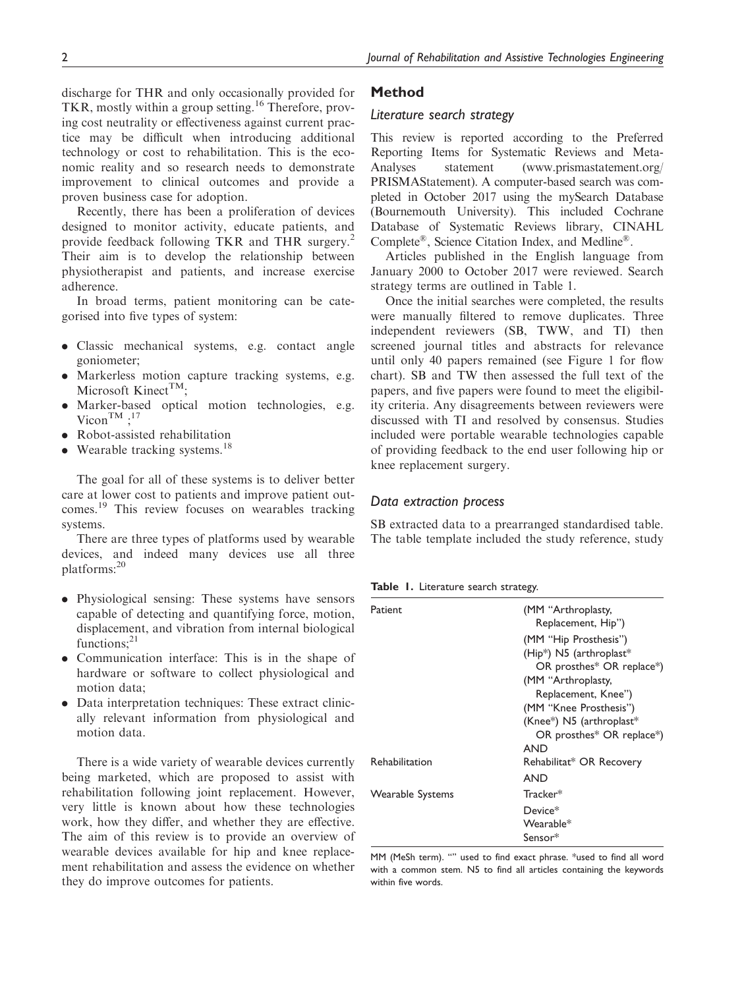discharge for THR and only occasionally provided for TKR, mostly within a group setting.<sup>16</sup> Therefore, proving cost neutrality or effectiveness against current practice may be difficult when introducing additional technology or cost to rehabilitation. This is the economic reality and so research needs to demonstrate improvement to clinical outcomes and provide a proven business case for adoption.

Recently, there has been a proliferation of devices designed to monitor activity, educate patients, and provide feedback following TKR and THR surgery.<sup>2</sup> Their aim is to develop the relationship between physiotherapist and patients, and increase exercise adherence.

In broad terms, patient monitoring can be categorised into five types of system:

- . Classic mechanical systems, e.g. contact angle goniometer;
- . Markerless motion capture tracking systems, e.g. Microsoft Kinect<sup>TM</sup>;
- . Marker-based optical motion technologies, e.g. Vicon<sup>TM</sup>;<sup>17</sup>
- . Robot-assisted rehabilitation
- $\bullet$  Wearable tracking systems.<sup>18</sup>

The goal for all of these systems is to deliver better care at lower cost to patients and improve patient outcomes.<sup>19</sup> This review focuses on wearables tracking systems.

There are three types of platforms used by wearable devices, and indeed many devices use all three platforms:<sup>20</sup>

- . Physiological sensing: These systems have sensors capable of detecting and quantifying force, motion, displacement, and vibration from internal biological functions: $^{21}$
- . Communication interface: This is in the shape of hardware or software to collect physiological and motion data;
- . Data interpretation techniques: These extract clinically relevant information from physiological and motion data.

There is a wide variety of wearable devices currently being marketed, which are proposed to assist with rehabilitation following joint replacement. However, very little is known about how these technologies work, how they differ, and whether they are effective. The aim of this review is to provide an overview of wearable devices available for hip and knee replacement rehabilitation and assess the evidence on whether they do improve outcomes for patients.

# Method

### Literature search strategy

This review is reported according to the Preferred Reporting Items for Systematic Reviews and Meta-Analyses statement ([www.prismastatement.org/](www.prismastatement.org/PRISMAStatement) [PRISMAStatement](www.prismastatement.org/PRISMAStatement)). A computer-based search was completed in October 2017 using the mySearch Database (Bournemouth University). This included Cochrane Database of Systematic Reviews library, CINAHL Complete®, Science Citation Index, and Medline®.

Articles published in the English language from January 2000 to October 2017 were reviewed. Search strategy terms are outlined in Table 1.

Once the initial searches were completed, the results were manually filtered to remove duplicates. Three independent reviewers (SB, TWW, and TI) then screened journal titles and abstracts for relevance until only 40 papers remained (see Figure 1 for flow chart). SB and TW then assessed the full text of the papers, and five papers were found to meet the eligibility criteria. Any disagreements between reviewers were discussed with TI and resolved by consensus. Studies included were portable wearable technologies capable of providing feedback to the end user following hip or knee replacement surgery.

## Data extraction process

SB extracted data to a prearranged standardised table. The table template included the study reference, study

Table 1. Literature search strategy.

| Patient          | (MM "Arthroplasty,         |
|------------------|----------------------------|
|                  | Replacement, Hip")         |
|                  | (MM "Hip Prosthesis")      |
|                  | $(Hip^*)$ N5 (arthroplast* |
|                  | OR prosthes* OR replace*)  |
|                  | (MM "Arthroplasty,         |
|                  | Replacement, Knee")        |
|                  | (MM "Knee Prosthesis")     |
|                  | (Knee*) $N5$ (arthroplast* |
|                  | OR prosthes* OR replace*)  |
|                  | AND                        |
| Rehabilitation   | Rehabilitat* OR Recovery   |
|                  | AND                        |
| Wearable Systems | $\mathsf{Tracker}^*$       |
|                  | $D$ evice $*$              |
|                  | Wearable*                  |
|                  | Sensor*                    |

MM (MeSh term). "" used to find exact phrase. \*used to find all word with a common stem. N5 to find all articles containing the keywords within five words.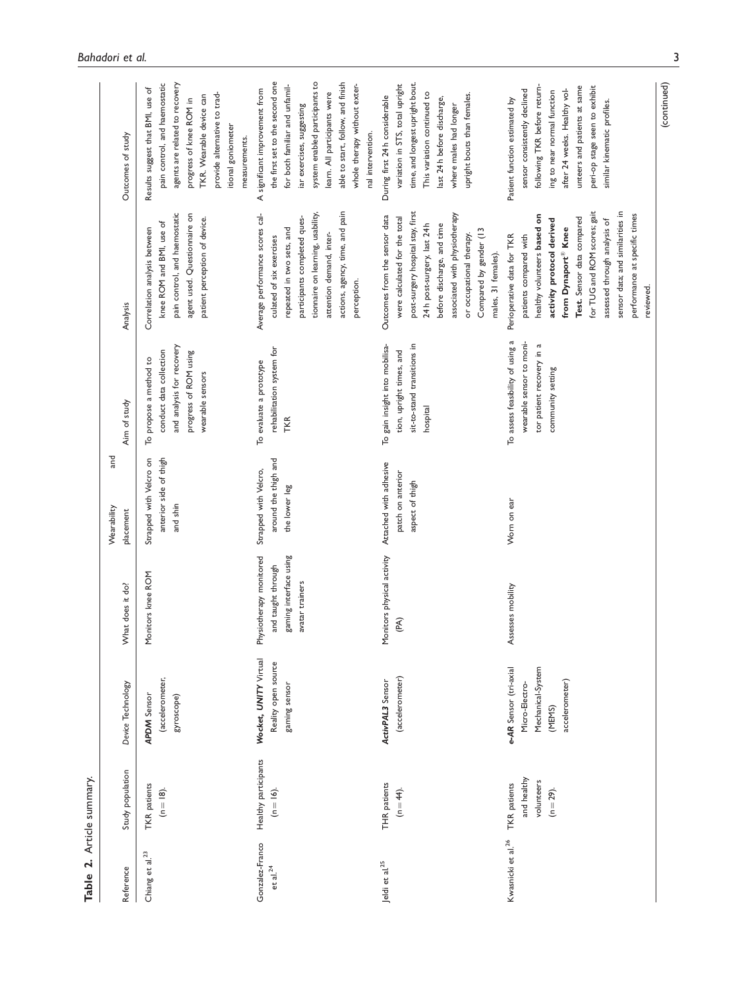| Table 2. Article summary.         |                                                           |                                                                                           |                                                                                            |                                                                |                                                                                                                                      |                                                                                                                                                                                                                                                                                                                         |                                                                                                                                                                                                                                                                                              |
|-----------------------------------|-----------------------------------------------------------|-------------------------------------------------------------------------------------------|--------------------------------------------------------------------------------------------|----------------------------------------------------------------|--------------------------------------------------------------------------------------------------------------------------------------|-------------------------------------------------------------------------------------------------------------------------------------------------------------------------------------------------------------------------------------------------------------------------------------------------------------------------|----------------------------------------------------------------------------------------------------------------------------------------------------------------------------------------------------------------------------------------------------------------------------------------------|
| Reference                         | Study population                                          | Device Technology                                                                         | What does it do?                                                                           | and<br>Wearability<br>placement                                | Aim of study                                                                                                                         | Analysis                                                                                                                                                                                                                                                                                                                | Outcomes of study                                                                                                                                                                                                                                                                            |
| Chiang et al. <sup>23</sup>       | TKR patients<br>$(n = 18)$ .                              | (accelerometer,<br><b>APDM</b> Sensor<br>gyroscope)                                       | Monitors knee ROM                                                                          | anterior side of thigh<br>Strapped with Velcro on<br>and shin  | and analysis for recovery<br>conduct data collection<br>progress of ROM using<br>propose a method to<br>wearable sensors<br><u>م</u> | pain control, and haemostatic<br>agent used. Questionnaire on<br>patient perception of device.<br>knee ROM and BMI, use of<br>Correlation analysis between                                                                                                                                                              | pain control, and haemostatic<br>agents are related to recovery<br>Results suggest that BMI, use of<br>provide alternative to trad-<br>TKR. Wearable device can<br>progress of knee ROM in<br>itional goniometer<br>measurements.                                                            |
| Gonzalez-Franco<br>et al. $^{24}$ | Healthy participants<br>$(n = 16)$ .                      | Wocket, UNITY Virtual<br>Reality open source<br>gaming sensor                             | Physiotherapy monitored<br>gaming interface using<br>and taught through<br>avatar trainers | around the thigh and<br>Strapped with Velcro,<br>the lower leg | rehabilitation system for<br>To evaluate a prototype<br>TKR                                                                          | actions, agency, time, and pain<br>tionnaire on learning, usability,<br>Average performance scores cal-<br>participants completed ques-<br>repeated in two sets, and<br>attention demand, inter-<br>culated of six exercises<br>perception.                                                                             | the first set to the second one<br>able to start, follow, and finish<br>system enabled participants to<br>whole therapy without exter-<br>for both familiar and unfamil-<br>A significant improvement from<br>learn. All participants were<br>iar exercises, suggesting<br>nal intervention. |
| Jeldi et al. <sup>25</sup>        | THR patients<br>$(n = 44)$ .                              | (accelerometer)<br>ActivPAL3 Sensor                                                       | Monitors physical activity<br>(PA)                                                         | Attached with adhesive<br>patch on anterior<br>aspect of thigh | To gain insight into mobilisa-<br>sit-to-stand transitions in<br>tion, upright times, and<br>hospital                                | post-surgery hospital stay, first<br>associated with physiotherapy<br>Outcomes from the sensor data<br>were calculated for the total<br>24 h post-surgery, last 24 h<br>before discharge, and time<br>Compared by gender (13<br>or occupational therapy.<br>males, 31 females).                                         | time, and longest upright bout.<br>variation in STS, total upright<br>This variation continued to<br>upright bouts than females.<br>During first 24 h considerable<br>last 24h before discharge,<br>where males had longer                                                                   |
| Kwasnicki et al. <sup>26</sup>    | and healthy<br>volunteers<br>TKR patients<br>$(n = 29)$ . | Mechanical-System<br>e-AR Sensor (tri-axial<br>accelerometer)<br>Micro-Electro-<br>(MEMS) | Assesses mobility                                                                          | Worn on ear                                                    | To assess feasibility of using a<br>wearable sensor to moni-<br>tor patient recovery in a<br>community setting                       | for TUG and ROM scores; gait<br>sensor data; and similarities in<br>performance at specific times<br>healthy volunteers based on<br>Test. Sensor data compared<br>activity protocol derived<br>assessed through analysis of<br>from Dynaport® Knee<br>Perioperative data for TKR<br>patients compared with<br>reviewed. | following TKR before return-<br>peri-op stage seen to exhibit<br>unteers and patients at same<br>after 24 weeks. Healthy vol-<br>sensor consistently declined<br>ing to near normal function<br>Patient function estimated by<br>similar kinematic profiles.                                 |

(continued)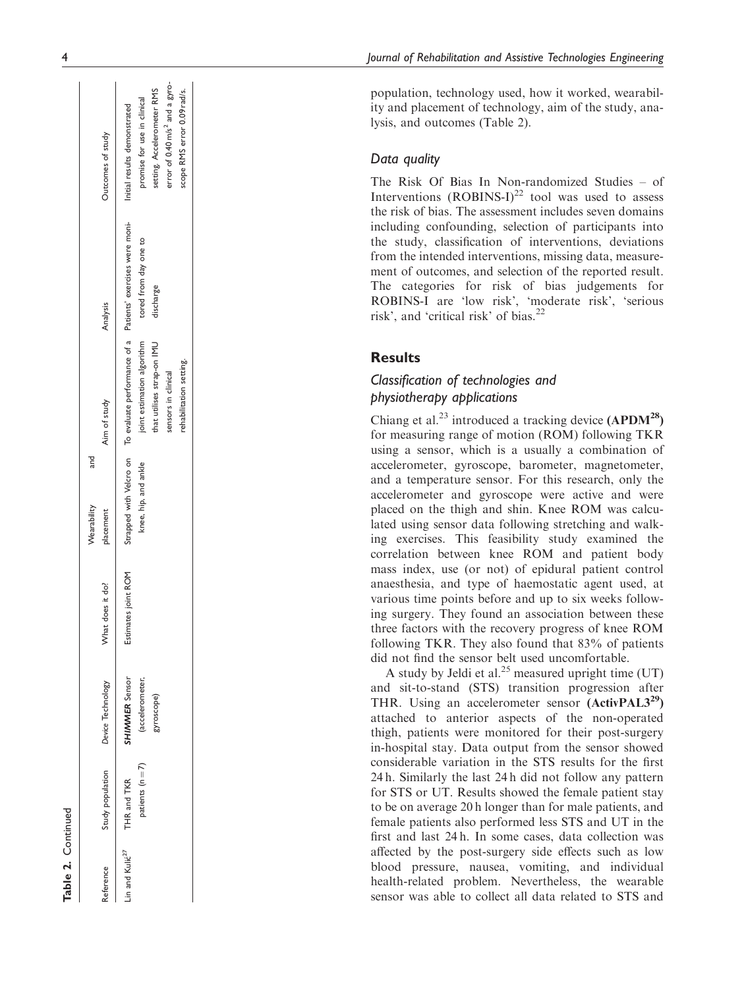| , |
|---|

|                            |                                   |                                                       |                     | and<br>Wearability                              |                                                                                                            |                                                                                                   |                                                                                                                                                                        |
|----------------------------|-----------------------------------|-------------------------------------------------------|---------------------|-------------------------------------------------|------------------------------------------------------------------------------------------------------------|---------------------------------------------------------------------------------------------------|------------------------------------------------------------------------------------------------------------------------------------------------------------------------|
| derence                    | Study population                  | Device Technology                                     | does it do?<br>What | placement                                       | Aim of study                                                                                               | Analysis                                                                                          | Outcomes of study                                                                                                                                                      |
| in and Kulić <sup>27</sup> | patients $(n = 7)$<br>THR and TKR | <b>SHIMMER Sensor</b><br>(accelerometer,<br>yroscope) | Estimates joint ROM | Strapped with Velcro on<br>knee, hip, and ankle | joint estimation algorithm<br>that utilises strap-on IMU<br>rehabilitation setting.<br>sensors in clinical | To evaluate performance of a Patients' exercises were moni-<br>tored from day one to<br>discharge | error of 0.40 m/s <sup>2</sup> and a gyro-<br>setting. Accelerometer RMS<br>scope RMS error 0.09 rad/s.<br>promise for use in clinical<br>Initial results demonstrated |

population, technology used, how it worked, wearability and placement of technology, aim of the study, analysis, and outcomes (Table 2).

# Data quality

The Risk Of Bias In Non-randomized Studies – of Interventions  $(ROBINS-I)^{22}$  tool was used to assess the risk of bias. The assessment includes seven domains including confounding, selection of participants into the study, classification of interventions, deviations from the intended interventions, missing data, measurement of outcomes, and selection of the reported result. The categories for risk of bias judgements for ROBINS-I are 'low risk', 'moderate risk', 'serious risk', and 'critical risk' of bias.<sup>22</sup>

# **Results**

# Classification of technologies and physiotherapy applications

Chiang et al.<sup>23</sup> introduced a tracking device  $(APDM^{28})$ for measuring range of motion (ROM) following TKR using a sensor, which is a usually a combination of accelerometer, gyroscope, barometer, magnetometer, and a temperature sensor. For this research, only the accelerometer and gyroscope were active and were placed on the thigh and shin. Knee ROM was calculated using sensor data following stretching and walking exercises. This feasibility study examined the correlation between knee ROM and patient body mass index, use (or not) of epidural patient control anaesthesia, and type of haemostatic agent used, at various time points before and up to six weeks following surgery. They found an association between these three factors with the recovery progress of knee ROM following TKR. They also found that 83% of patients did not find the sensor belt used uncomfortable.

A study by Jeldi et al.<sup>25</sup> measured upright time (UT) and sit-to-stand (STS) transition progression after THR. Using an accelerometer sensor (ActivPAL3<sup>29</sup>) attached to anterior aspects of the non-operated thigh, patients were monitored for their post-surgery in-hospital stay. Data output from the sensor showed considerable variation in the STS results for the first 24 h. Similarly the last 24 h did not follow any pattern for STS or UT. Results showed the female patient stay to be on average 20 h longer than for male patients, and female patients also performed less STS and UT in the first and last 24 h. In some cases, data collection was affected by the post-surgery side effects such as low blood pressure, nausea, vomiting, and individual health-related problem. Nevertheless, the wearable sensor was able to collect all data related to STS and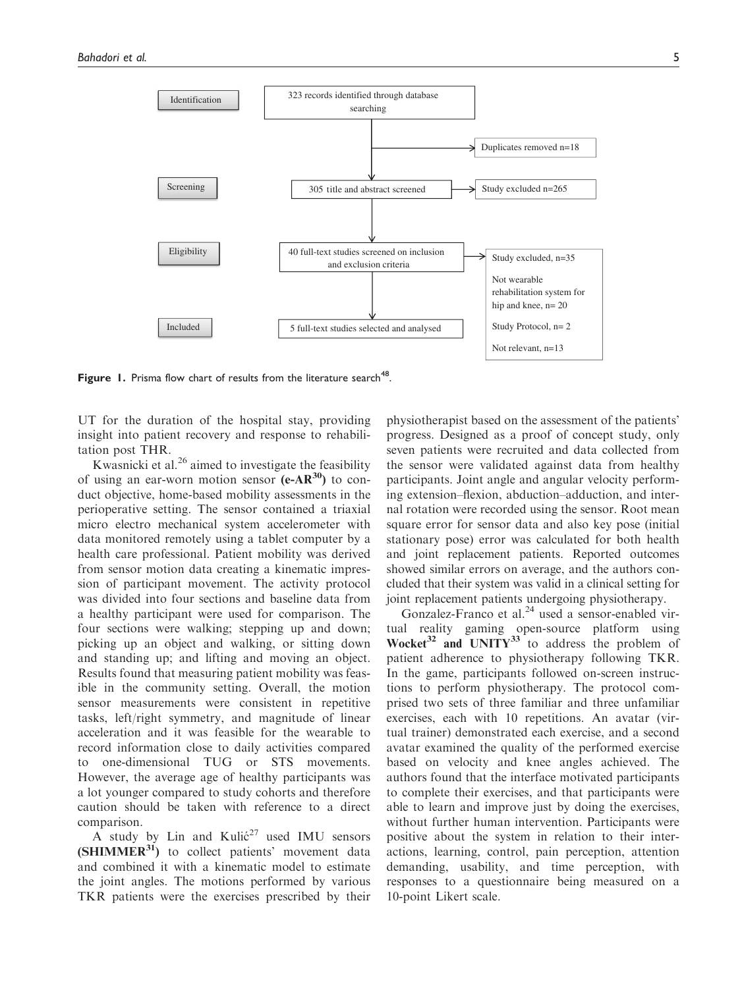

Figure 1. Prisma flow chart of results from the literature search<sup>48</sup>.

UT for the duration of the hospital stay, providing insight into patient recovery and response to rehabilitation post THR.

Kwasnicki et al.<sup>26</sup> aimed to investigate the feasibility of using an ear-worn motion sensor  $(e-AR^{30})$  to conduct objective, home-based mobility assessments in the perioperative setting. The sensor contained a triaxial micro electro mechanical system accelerometer with data monitored remotely using a tablet computer by a health care professional. Patient mobility was derived from sensor motion data creating a kinematic impression of participant movement. The activity protocol was divided into four sections and baseline data from a healthy participant were used for comparison. The four sections were walking; stepping up and down; picking up an object and walking, or sitting down and standing up; and lifting and moving an object. Results found that measuring patient mobility was feasible in the community setting. Overall, the motion sensor measurements were consistent in repetitive tasks, left/right symmetry, and magnitude of linear acceleration and it was feasible for the wearable to record information close to daily activities compared to one-dimensional TUG or STS movements. However, the average age of healthy participants was a lot younger compared to study cohorts and therefore caution should be taken with reference to a direct comparison.

A study by Lin and Kuli $\acute{c}^{27}$  used IMU sensors (SHIMMER<sup>31</sup>) to collect patients' movement data and combined it with a kinematic model to estimate the joint angles. The motions performed by various TKR patients were the exercises prescribed by their physiotherapist based on the assessment of the patients' progress. Designed as a proof of concept study, only seven patients were recruited and data collected from the sensor were validated against data from healthy participants. Joint angle and angular velocity performing extension–flexion, abduction–adduction, and internal rotation were recorded using the sensor. Root mean square error for sensor data and also key pose (initial stationary pose) error was calculated for both health and joint replacement patients. Reported outcomes showed similar errors on average, and the authors concluded that their system was valid in a clinical setting for joint replacement patients undergoing physiotherapy.

Gonzalez-Franco et al.<sup>24</sup> used a sensor-enabled virtual reality gaming open-source platform using Wocket<sup>32</sup> and UNITY<sup>33</sup> to address the problem of patient adherence to physiotherapy following TKR. In the game, participants followed on-screen instructions to perform physiotherapy. The protocol comprised two sets of three familiar and three unfamiliar exercises, each with 10 repetitions. An avatar (virtual trainer) demonstrated each exercise, and a second avatar examined the quality of the performed exercise based on velocity and knee angles achieved. The authors found that the interface motivated participants to complete their exercises, and that participants were able to learn and improve just by doing the exercises, without further human intervention. Participants were positive about the system in relation to their interactions, learning, control, pain perception, attention demanding, usability, and time perception, with responses to a questionnaire being measured on a 10-point Likert scale.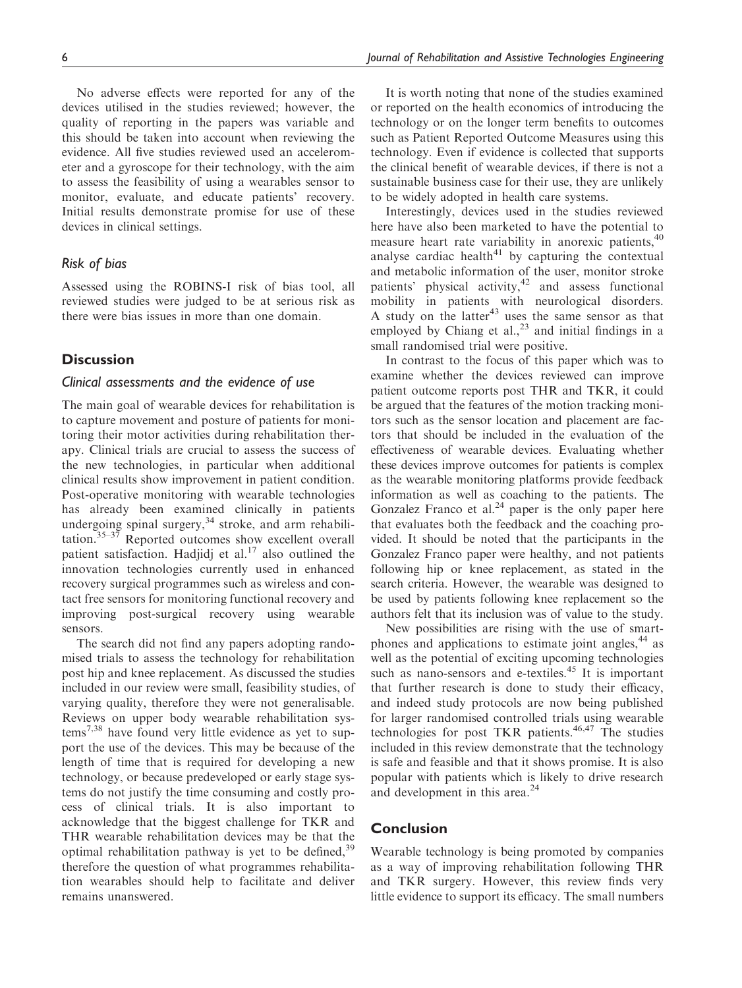No adverse effects were reported for any of the devices utilised in the studies reviewed; however, the quality of reporting in the papers was variable and this should be taken into account when reviewing the evidence. All five studies reviewed used an accelerometer and a gyroscope for their technology, with the aim to assess the feasibility of using a wearables sensor to monitor, evaluate, and educate patients' recovery. Initial results demonstrate promise for use of these devices in clinical settings.

## Risk of bias

Assessed using the ROBINS-I risk of bias tool, all reviewed studies were judged to be at serious risk as there were bias issues in more than one domain.

# **Discussion**

## Clinical assessments and the evidence of use

The main goal of wearable devices for rehabilitation is to capture movement and posture of patients for monitoring their motor activities during rehabilitation therapy. Clinical trials are crucial to assess the success of the new technologies, in particular when additional clinical results show improvement in patient condition. Post-operative monitoring with wearable technologies has already been examined clinically in patients undergoing spinal surgery, $34$  stroke, and arm rehabilitation. $35-37$  Reported outcomes show excellent overall patient satisfaction. Hadjidj et al.<sup>17</sup> also outlined the innovation technologies currently used in enhanced recovery surgical programmes such as wireless and contact free sensors for monitoring functional recovery and improving post-surgical recovery using wearable sensors.

The search did not find any papers adopting randomised trials to assess the technology for rehabilitation post hip and knee replacement. As discussed the studies included in our review were small, feasibility studies, of varying quality, therefore they were not generalisable. Reviews on upper body wearable rehabilitation sys $tems<sup>7,38</sup>$  have found very little evidence as yet to support the use of the devices. This may be because of the length of time that is required for developing a new technology, or because predeveloped or early stage systems do not justify the time consuming and costly process of clinical trials. It is also important to acknowledge that the biggest challenge for TKR and THR wearable rehabilitation devices may be that the optimal rehabilitation pathway is yet to be defined,  $39$ therefore the question of what programmes rehabilitation wearables should help to facilitate and deliver remains unanswered.

It is worth noting that none of the studies examined or reported on the health economics of introducing the technology or on the longer term benefits to outcomes such as Patient Reported Outcome Measures using this technology. Even if evidence is collected that supports the clinical benefit of wearable devices, if there is not a sustainable business case for their use, they are unlikely to be widely adopted in health care systems.

Interestingly, devices used in the studies reviewed here have also been marketed to have the potential to measure heart rate variability in anorexic patients, <sup>40</sup> analyse cardiac health<sup>41</sup> by capturing the contextual and metabolic information of the user, monitor stroke patients' physical activity, $42$  and assess functional mobility in patients with neurological disorders. A study on the latter<sup>43</sup> uses the same sensor as that employed by Chiang et  $al_{1,2}^{23}$  and initial findings in a small randomised trial were positive.

In contrast to the focus of this paper which was to examine whether the devices reviewed can improve patient outcome reports post THR and TKR, it could be argued that the features of the motion tracking monitors such as the sensor location and placement are factors that should be included in the evaluation of the effectiveness of wearable devices. Evaluating whether these devices improve outcomes for patients is complex as the wearable monitoring platforms provide feedback information as well as coaching to the patients. The Gonzalez Franco et al. $^{24}$  paper is the only paper here that evaluates both the feedback and the coaching provided. It should be noted that the participants in the Gonzalez Franco paper were healthy, and not patients following hip or knee replacement, as stated in the search criteria. However, the wearable was designed to be used by patients following knee replacement so the authors felt that its inclusion was of value to the study.

New possibilities are rising with the use of smartphones and applications to estimate joint angles,  $44$  as well as the potential of exciting upcoming technologies such as nano-sensors and e-textiles.<sup>45</sup> It is important that further research is done to study their efficacy, and indeed study protocols are now being published for larger randomised controlled trials using wearable technologies for post TKR patients. $46,47$  The studies included in this review demonstrate that the technology is safe and feasible and that it shows promise. It is also popular with patients which is likely to drive research and development in this area.<sup>24</sup>

# Conclusion

Wearable technology is being promoted by companies as a way of improving rehabilitation following THR and TKR surgery. However, this review finds very little evidence to support its efficacy. The small numbers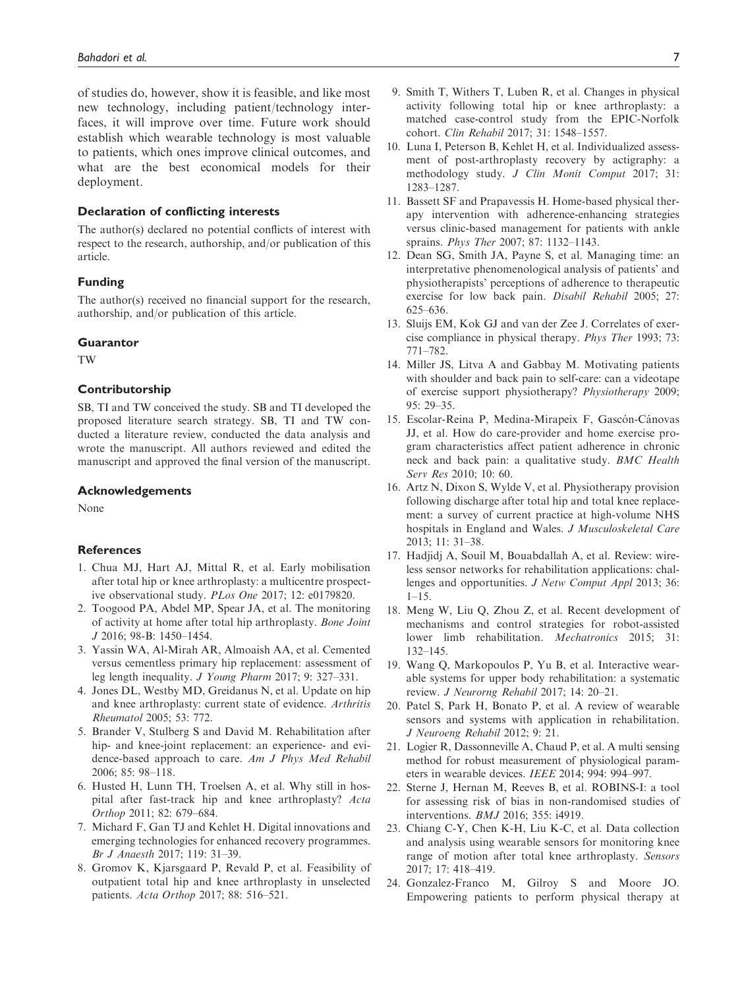of studies do, however, show it is feasible, and like most new technology, including patient/technology interfaces, it will improve over time. Future work should establish which wearable technology is most valuable to patients, which ones improve clinical outcomes, and what are the best economical models for their deployment.

#### Declaration of conflicting interests

The author(s) declared no potential conflicts of interest with respect to the research, authorship, and/or publication of this article.

#### Funding

The author(s) received no financial support for the research, authorship, and/or publication of this article.

#### **Guarantor**

TW

#### Contributorship

SB, TI and TW conceived the study. SB and TI developed the proposed literature search strategy. SB, TI and TW conducted a literature review, conducted the data analysis and wrote the manuscript. All authors reviewed and edited the manuscript and approved the final version of the manuscript.

#### Acknowledgements

None

#### **References**

- 1. Chua MJ, Hart AJ, Mittal R, et al. Early mobilisation after total hip or knee arthroplasty: a multicentre prospective observational study. PLos One 2017; 12: e0179820.
- 2. Toogood PA, Abdel MP, Spear JA, et al. The monitoring of activity at home after total hip arthroplasty. Bone Joint J 2016; 98-B: 1450–1454.
- 3. Yassin WA, Al-Mirah AR, Almoaish AA, et al. Cemented versus cementless primary hip replacement: assessment of leg length inequality. J Young Pharm 2017; 9: 327–331.
- 4. Jones DL, Westby MD, Greidanus N, et al. Update on hip and knee arthroplasty: current state of evidence. Arthritis Rheumatol 2005; 53: 772.
- 5. Brander V, Stulberg S and David M. Rehabilitation after hip- and knee-joint replacement: an experience- and evidence-based approach to care. Am J Phys Med Rehabil 2006; 85: 98–118.
- 6. Husted H, Lunn TH, Troelsen A, et al. Why still in hospital after fast-track hip and knee arthroplasty? Acta Orthop 2011; 82: 679–684.
- 7. Michard F, Gan TJ and Kehlet H. Digital innovations and emerging technologies for enhanced recovery programmes. Br J Anaesth 2017; 119: 31–39.
- 8. Gromov K, Kjarsgaard P, Revald P, et al. Feasibility of outpatient total hip and knee arthroplasty in unselected patients. Acta Orthop 2017; 88: 516–521.
- 9. Smith T, Withers T, Luben R, et al. Changes in physical activity following total hip or knee arthroplasty: a matched case-control study from the EPIC-Norfolk cohort. Clin Rehabil 2017; 31: 1548–1557.
- 10. Luna I, Peterson B, Kehlet H, et al. Individualized assessment of post-arthroplasty recovery by actigraphy: a methodology study. J Clin Monit Comput 2017; 31: 1283–1287.
- 11. Bassett SF and Prapavessis H. Home-based physical therapy intervention with adherence-enhancing strategies versus clinic-based management for patients with ankle sprains. Phys Ther 2007; 87: 1132–1143.
- 12. Dean SG, Smith JA, Payne S, et al. Managing time: an interpretative phenomenological analysis of patients' and physiotherapists' perceptions of adherence to therapeutic exercise for low back pain. Disabil Rehabil 2005; 27: 625–636.
- 13. Sluijs EM, Kok GJ and van der Zee J. Correlates of exercise compliance in physical therapy. Phys Ther 1993; 73: 771–782.
- 14. Miller JS, Litva A and Gabbay M. Motivating patients with shoulder and back pain to self-care: can a videotape of exercise support physiotherapy? Physiotherapy 2009; 95: 29–35.
- 15. Escolar-Reina P, Medina-Mirapeix F, Gascón-Cánovas JJ, et al. How do care-provider and home exercise program characteristics affect patient adherence in chronic neck and back pain: a qualitative study. BMC Health Serv Res 2010; 10: 60.
- 16. Artz N, Dixon S, Wylde V, et al. Physiotherapy provision following discharge after total hip and total knee replacement: a survey of current practice at high-volume NHS hospitals in England and Wales. J Musculoskeletal Care 2013; 11: 31–38.
- 17. Hadjidj A, Souil M, Bouabdallah A, et al. Review: wireless sensor networks for rehabilitation applications: challenges and opportunities. J Netw Comput Appl 2013; 36:  $1 - 15$ .
- 18. Meng W, Liu Q, Zhou Z, et al. Recent development of mechanisms and control strategies for robot-assisted lower limb rehabilitation. Mechatronics 2015; 31: 132–145.
- 19. Wang Q, Markopoulos P, Yu B, et al. Interactive wearable systems for upper body rehabilitation: a systematic review. J Neurorng Rehabil 2017; 14: 20–21.
- 20. Patel S, Park H, Bonato P, et al. A review of wearable sensors and systems with application in rehabilitation. J Neuroeng Rehabil 2012; 9: 21.
- 21. Logier R, Dassonneville A, Chaud P, et al. A multi sensing method for robust measurement of physiological parameters in wearable devices. IEEE 2014; 994: 994–997.
- 22. Sterne J, Hernan M, Reeves B, et al. ROBINS-I: a tool for assessing risk of bias in non-randomised studies of interventions. BMJ 2016; 355: i4919.
- 23. Chiang C-Y, Chen K-H, Liu K-C, et al. Data collection and analysis using wearable sensors for monitoring knee range of motion after total knee arthroplasty. Sensors 2017; 17: 418–419.
- 24. Gonzalez-Franco M, Gilroy S and Moore JO. Empowering patients to perform physical therapy at